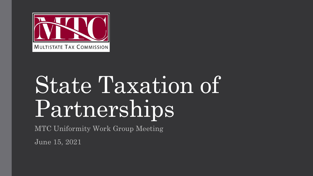

# State Taxation of Partnerships

MTC Uniformity Work Group Meeting

June 15, 2021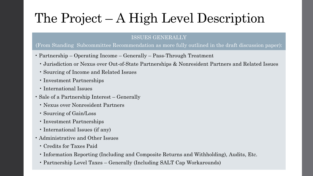### The Project – A High Level Description

#### ISSUES GENERALLY

#### (From Standing Subcommittee Recommendation as more fully outlined in the draft discussion paper):

- Partnership Operating Income Generally Pass-Through Treatment
	- Jurisdiction or Nexus over Out-of-State Partnerships & Nonresident Partners and Related Issues
	- Sourcing of Income and Related Issues
	- Investment Partnerships
	- International Issues
- Sale of a Partnership Interest Generally
	- Nexus over Nonresident Partners
	- Sourcing of Gain/Loss
	- Investment Partnerships
	- International Issues (if any)
- Administrative and Other Issues
	- Credits for Taxes Paid
	- Information Reporting (Including and Composite Returns and Withholding), Audits, Etc.
	- Partnership Level Taxes Generally (Including SALT Cap Workarounds)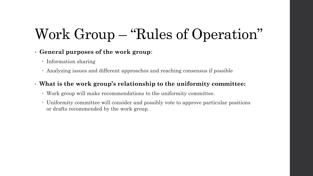### Work Group – "Rules of Operation"

#### • **General purposes of the work group**:

- Information sharing
- Analyzing issues and different approaches and reaching consensus if possible

#### • **What is the work group's relationship to the uniformity committee:**

- Work group will make recommendations to the uniformity committee.
- Uniformity committee will consider and possibly vote to approve particular positions or drafts recommended by the work group.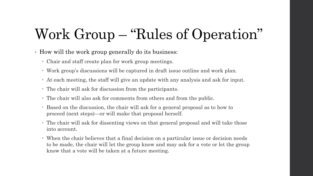### Work Group – "Rules of Operation"

- How will the work group generally do its business:
	- Chair and staff create plan for work group meetings.
	- Work group's discussions will be captured in draft issue outline and work plan.
	- At each meeting, the staff will give an update with any analysis and ask for input.
	- The chair will ask for discussion from the participants.
	- The chair will also ask for comments from others and from the public.
	- Based on the discussion, the chair will ask for a general proposal as to how to proceed (next steps)—or will make that proposal herself.
	- The chair will ask for dissenting views on that general proposal and will take those into account.
	- When the chair believes that a final decision on a particular issue or decision needs to be made, the chair will let the group know and may ask for a vote or let the group know that a vote will be taken at a future meeting.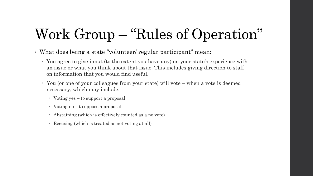### Work Group – "Rules of Operation"

- What does being a state "volunteer/ regular participant" mean:
	- You agree to give input (to the extent you have any) on your state's experience with an issue or what you think about that issue. This includes giving direction to staff on information that you would find useful.
	- You (or one of your colleagues from your state) will vote when a vote is deemed necessary, which may include:
		- Voting yes to support a proposal
		- Voting no to oppose a proposal
		- Abstaining (which is effectively counted as a no vote)
		- Recusing (which is treated as not voting at all)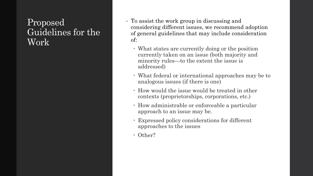#### Proposed Guidelines for the Work

- To assist the work group in discussing and considering different issues, we recommend adoption of general guidelines that may include consideration of:
	- What states are currently doing or the position currently taken on an issue (both majority and minority rules—to the extent the issue is addressed)
	- What federal or international approaches may be to analogous issues (if there is one)
	- How would the issue would be treated in other contexts (proprietorships, corporations, etc.)
	- How administrable or enforceable a particular approach to an issue may be.
	- Expressed policy considerations for different approaches to the issues
	- Other?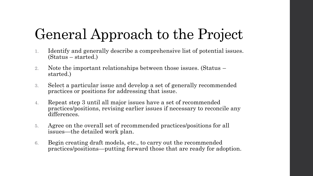## General Approach to the Project

- 1. Identify and generally describe a comprehensive list of potential issues. (Status – started.)
- 2. Note the important relationships between those issues. (Status started.)
- 3. Select a particular issue and develop a set of generally recommended practices or positions for addressing that issue.
- 4. Repeat step 3 until all major issues have a set of recommended practices/positions, revising earlier issues if necessary to reconcile any differences.
- 5. Agree on the overall set of recommended practices/positions for all issues—the detailed work plan.
- 6. Begin creating draft models, etc., to carry out the recommended practices/positions—putting forward those that are ready for adoption.